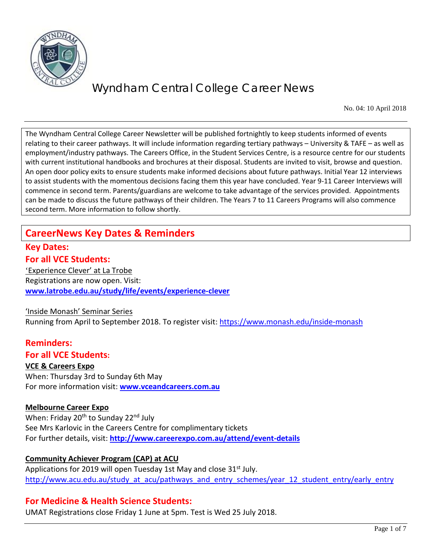

No. 04: 10 April 2018

The Wyndham Central College Career Newsletter will be published fortnightly to keep students informed of events relating to their career pathways. It will include information regarding tertiary pathways – University & TAFE – as well as employment/industry pathways. The Careers Office, in the Student Services Centre, is a resource centre for our students with current institutional handbooks and brochures at their disposal. Students are invited to visit, browse and question. An open door policy exits to ensure students make informed decisions about future pathways. Initial Year 12 interviews to assist students with the momentous decisions facing them this year have concluded. Year 9-11 Career Interviews will commence in second term. Parents/guardians are welcome to take advantage of the services provided. Appointments can be made to discuss the future pathways of their children. The Years 7 to 11 Careers Programs will also commence second term. More information to follow shortly.

### **CareerNews Key Dates & Reminders**

### **Key Dates: For all VCE Students:**

'Experience Clever' at La Trobe Registrations are now open. Visit: **[www.latrobe.edu.au/study/life/events/experience-clever](http://www.latrobe.edu.au/study/life/events/experience-clever)** 

### 'Inside Monash' Seminar Series

Running from April to September 2018. To register visit:<https://www.monash.edu/inside-monash>

### **Reminders:**

### **For all VCE Students:**

#### **VCE & Careers Expo**

When: Thursday 3rd to Sunday 6th May For more information visit: **[www.vceandcareers.com.au](http://www.vceandcareers.com.au/)**

### **Melbourne Career Expo**

When: Friday 20<sup>th</sup> to Sunday 22<sup>nd</sup> July See Mrs Karlovic in the Careers Centre for complimentary tickets For further details, visit: **<http://www.careerexpo.com.au/attend/event-details>**

### **Community Achiever Program (CAP) at ACU**

Applications for 2019 will open Tuesday 1st May and close 31<sup>st</sup> July. [http://www.acu.edu.au/study\\_at\\_acu/pathways\\_and\\_entry\\_schemes/year\\_12\\_student\\_entry/early\\_entry](http://www.acu.edu.au/study_at_acu/pathways_and_entry_schemes/year_12_student_entry/early_entry)

### **For Medicine & Health Science Students:**

UMAT Registrations close Friday 1 June at 5pm. Test is Wed 25 July 2018.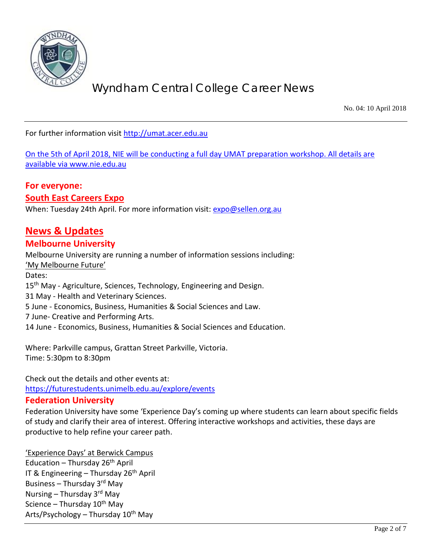

No. 04: 10 April 2018

For further information visit [http://umat.acer.edu.au](http://umat.acer.edu.au/)

On the 5th of April 2018, NIE will be conducting a full day UMAT preparation workshop. All details are available via [www.nie.edu.au](http://www.nie.edu.au/)

#### **For everyone: South East Careers Expo**

When: Tuesday 24th April. For more information visit: [expo@sellen.org.au](mailto:expo@sellen.org.au)

### **News & Updates**

### **Melbourne University**

Melbourne University are running a number of information sessions including: 'My Melbourne Future' Dates: 15<sup>th</sup> May - Agriculture, Sciences, Technology, Engineering and Design. 31 May - Health and Veterinary Sciences. 5 June - Economics, Business, Humanities & Social Sciences and Law. 7 June- Creative and Performing Arts. 14 June - Economics, Business, Humanities & Social Sciences and Education.

Where: Parkville campus, Grattan Street Parkville, Victoria. Time: 5:30pm to 8:30pm

Check out the details and other events at:

<https://futurestudents.unimelb.edu.au/explore/events>

### **Federation University**

Federation University have some 'Experience Day's coming up where students can learn about specific fields of study and clarify their area of interest. Offering interactive workshops and activities, these days are productive to help refine your career path.

'Experience Days' at Berwick Campus Education – Thursday  $26<sup>th</sup>$  April IT & Engineering – Thursday  $26<sup>th</sup>$  April Business – Thursday 3rd May Nursing – Thursday  $3<sup>rd</sup>$  May Science – Thursday  $10^{th}$  May Arts/Psychology – Thursday  $10^{th}$  May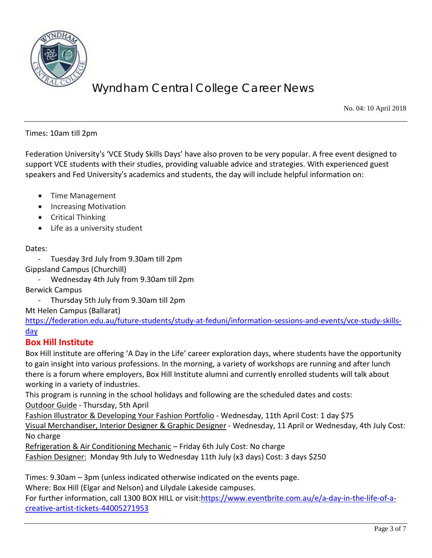

No. 04: 10 April 2018

Times: 10am till 2pm

Federation University's 'VCE Study Skills Days' have also proven to be very popular. A free event designed to support VCE students with their studies, providing valuable advice and strategies. With experienced guest speakers and Fed University's academics and students, the day will include helpful information on:

- Time Management
- Increasing Motivation
- Critical Thinking
- Life as a university student

#### Dates:

- Tuesday 3rd July from 9.30am till 2pm
- Gippsland Campus (Churchill)
	- Wednesday 4th July from 9.30am till 2pm

Berwick Campus

- Thursday 5th July from 9.30am till 2pm

Mt Helen Campus (Ballarat)

[https://federation.edu.au/future-students/study-at-feduni/information-sessions-and-events/vce-study-skills](https://federation.edu.au/future-students/study-at-feduni/information-sessions-and-events/vce-study-skills-day)[day](https://federation.edu.au/future-students/study-at-feduni/information-sessions-and-events/vce-study-skills-day)

### **Box Hill Institute**

Box Hill institute are offering 'A Day in the Life' career exploration days, where students have the opportunity to gain insight into various professions. In the morning, a variety of workshops are running and after lunch there is a forum where employers, Box Hill Institute alumni and currently enrolled students will talk about working in a variety of industries.

This program is running in the school holidays and following are the scheduled dates and costs: Outdoor Guide - Thursday, 5th April

Fashion Illustrator & Developing Your Fashion Portfolio - Wednesday, 11th April Cost: 1 day \$75 Visual Merchandiser, Interior Designer & Graphic Designer - Wednesday, 11 April or Wednesday, 4th July Cost: No charge

Refrigeration & Air Conditioning Mechanic - Friday 6th July Cost: No charge Fashion Designer: Monday 9th July to Wednesday 11th July (x3 days) Cost: 3 days \$250

Times: 9.30am – 3pm (unless indicated otherwise indicated on the events page.

Where: Box Hill (Elgar and Nelson) and Lilydale Lakeside campuses.

For further information, call 1300 BOX HILL or visit[:https://www.eventbrite.com.au/e/a-day-in-the-life-of-a](https://www.eventbrite.com.au/e/a-day-in-the-life-of-a-creative-artist-tickets-44005271953)[creative-artist-tickets-44005271953](https://www.eventbrite.com.au/e/a-day-in-the-life-of-a-creative-artist-tickets-44005271953)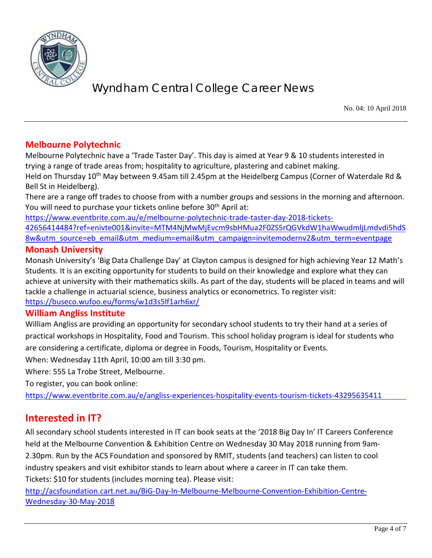

No. 04: 10 April 2018

### **Melbourne Polytechnic**

Melbourne Polytechnic have a 'Trade Taster Day'. This day is aimed at Year 9 & 10 students interested in trying a range of trade areas from; hospitality to agriculture, plastering and cabinet making.

Held on Thursday 10<sup>th</sup> May between 9.45am till 2.45pm at the Heidelberg Campus (Corner of Waterdale Rd & Bell St in Heidelberg).

There are a range off trades to choose from with a number groups and sessions in the morning and afternoon. You will need to purchase your tickets online before 30<sup>th</sup> April at:

[https://www.eventbrite.com.au/e/melbourne-polytechnic-trade-taster-day-2018-tickets-](https://www.eventbrite.com.au/e/melbourne-polytechnic-trade-taster-day-2018-tickets-42656414484?ref=enivte001&invite=MTM4NjMwMjEvcm9sbHMua2F0ZS5rQGVkdW1haWwudmljLmdvdi5hdS8w&utm_source=eb_email&utm_medium=email&utm_campaign=invitemodernv2&utm_term=eventpage)

[42656414484?ref=enivte001&invite=MTM4NjMwMjEvcm9sbHMua2F0ZS5rQGVkdW1haWwudmljLmdvdi5hdS](https://www.eventbrite.com.au/e/melbourne-polytechnic-trade-taster-day-2018-tickets-42656414484?ref=enivte001&invite=MTM4NjMwMjEvcm9sbHMua2F0ZS5rQGVkdW1haWwudmljLmdvdi5hdS8w&utm_source=eb_email&utm_medium=email&utm_campaign=invitemodernv2&utm_term=eventpage) [8w&utm\\_source=eb\\_email&utm\\_medium=email&utm\\_campaign=invitemodernv2&utm\\_term=eventpage](https://www.eventbrite.com.au/e/melbourne-polytechnic-trade-taster-day-2018-tickets-42656414484?ref=enivte001&invite=MTM4NjMwMjEvcm9sbHMua2F0ZS5rQGVkdW1haWwudmljLmdvdi5hdS8w&utm_source=eb_email&utm_medium=email&utm_campaign=invitemodernv2&utm_term=eventpage)

### **Monash University**

Monash University's 'Big Data Challenge Day' at Clayton campus is designed for high achieving Year 12 Math's Students. It is an exciting opportunity for students to build on their knowledge and explore what they can achieve at university with their mathematics skills. As part of the day, students will be placed in teams and will tackle a challenge in actuarial science, business analytics or econometrics. To register visit: <https://buseco.wufoo.eu/forms/w1d3s5lf1arh6xr/>

### **William Angliss Institute**

William Angliss are providing an opportunity for secondary school students to try their hand at a series of practical workshops in Hospitality, Food and Tourism. This school holiday program is ideal for students who are considering a certificate, diploma or degree in Foods, Tourism, Hospitality or Events.

When: Wednesday 11th April, 10:00 am till 3:30 pm.

Where: 555 La Trobe Street, Melbourne.

To register, you can book online:

<https://www.eventbrite.com.au/e/angliss-experiences-hospitality-events-tourism-tickets-43295635411>

### **Interested in IT?**

All secondary school students interested in IT can book seats at the '2018 Big Day In' IT Careers Conference held at the Melbourne Convention & Exhibition Centre on Wednesday 30 May 2018 running from 9am-2.30pm. Run by the ACS Foundation and sponsored by RMIT, students (and teachers) can listen to cool industry speakers and visit exhibitor stands to learn about where a career in IT can take them. Tickets: \$10 for students (includes morning tea). Please visit:

[http://acsfoundation.cart.net.au/BiG-Day-In-Melbourne-Melbourne-Convention-Exhibition-Centre-](http://acsfoundation.cart.net.au/BiG-Day-In-Melbourne-Melbourne-Convention-Exhibition-Centre-Wednesday-30-May-2018)[Wednesday-30-May-2018](http://acsfoundation.cart.net.au/BiG-Day-In-Melbourne-Melbourne-Convention-Exhibition-Centre-Wednesday-30-May-2018)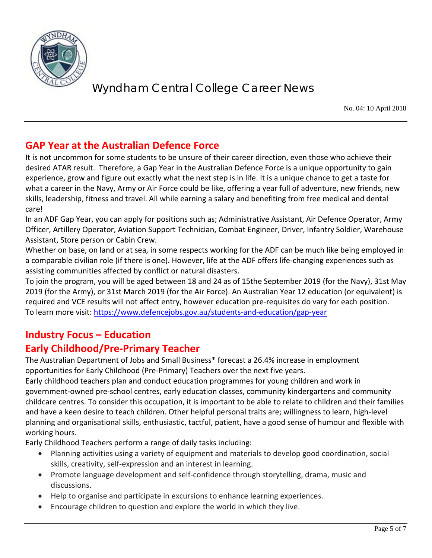

No. 04: 10 April 2018

### **GAP Year at the Australian Defence Force**

It is not uncommon for some students to be unsure of their career direction, even those who achieve their desired ATAR result. Therefore, a Gap Year in the Australian Defence Force is a unique opportunity to gain experience, grow and figure out exactly what the next step is in life. It is a unique chance to get a taste for what a career in the Navy, Army or Air Force could be like, offering a year full of adventure, new friends, new skills, leadership, fitness and travel. All while earning a salary and benefiting from free medical and dental care!

In an ADF Gap Year, you can apply for positions such as; Administrative Assistant, Air Defence Operator, Army Officer, Artillery Operator, Aviation Support Technician, Combat Engineer, Driver, Infantry Soldier, Warehouse Assistant, Store person or Cabin Crew.

Whether on base, on land or at sea, in some respects working for the ADF can be much like being employed in a comparable civilian role (if there is one). However, life at the ADF offers life-changing experiences such as assisting communities affected by conflict or natural disasters.

To join the program, you will be aged between 18 and 24 as of 15the September 2019 (for the Navy), 31st May 2019 (for the Army), or 31st March 2019 (for the Air Force). An Australian Year 12 education (or equivalent) is required and VCE results will not affect entry, however education pre-requisites do vary for each position. To learn more visit:<https://www.defencejobs.gov.au/students-and-education/gap-year>

# **Industry Focus – Education**

### **Early Childhood/Pre-Primary Teacher**

The Australian Department of Jobs and Small Business\* forecast a 26.4% increase in employment opportunities for Early Childhood (Pre-Primary) Teachers over the next five years.

Early childhood teachers plan and conduct education programmes for young children and work in government-owned pre-school centres, early education classes, community kindergartens and community childcare centres. To consider this occupation, it is important to be able to relate to children and their families and have a keen desire to teach children. Other helpful personal traits are; willingness to learn, high-level planning and organisational skills, enthusiastic, tactful, patient, have a good sense of humour and flexible with working hours.

Early Childhood Teachers perform a range of daily tasks including:

- Planning activities using a variety of equipment and materials to develop good coordination, social skills, creativity, self-expression and an interest in learning.
- Promote language development and self-confidence through storytelling, drama, music and discussions.
- Help to organise and participate in excursions to enhance learning experiences.
- Encourage children to question and explore the world in which they live.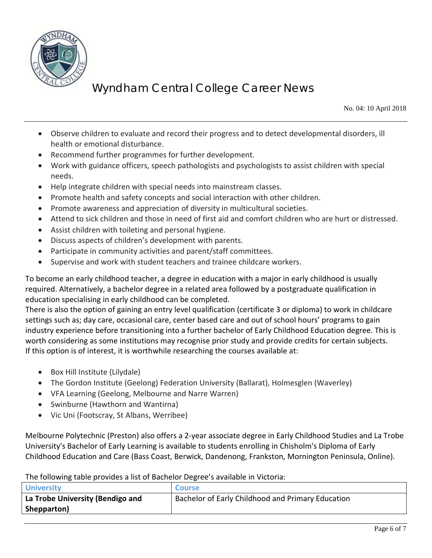

No. 04: 10 April 2018

- Observe children to evaluate and record their progress and to detect developmental disorders, ill health or emotional disturbance.
- Recommend further programmes for further development.
- Work with guidance officers, speech pathologists and psychologists to assist children with special needs.
- Help integrate children with special needs into mainstream classes.
- Promote health and safety concepts and social interaction with other children.
- Promote awareness and appreciation of diversity in multicultural societies.
- Attend to sick children and those in need of first aid and comfort children who are hurt or distressed.
- Assist children with toileting and personal hygiene.
- Discuss aspects of children's development with parents.
- Participate in community activities and parent/staff committees.
- Supervise and work with student teachers and trainee childcare workers.

To become an early childhood teacher, a degree in education with a major in early childhood is usually required. Alternatively, a bachelor degree in a related area followed by a postgraduate qualification in education specialising in early childhood can be completed.

There is also the option of gaining an entry level qualification (certificate 3 or diploma) to work in childcare settings such as; day care, occasional care, center based care and out of school hours' programs to gain industry experience before transitioning into a further bachelor of Early Childhood Education degree. This is worth considering as some institutions may recognise prior study and provide credits for certain subjects. If this option is of interest, it is worthwhile researching the courses available at:

- Box Hill Institute (Lilydale)
- The Gordon Institute (Geelong) Federation University (Ballarat), Holmesglen (Waverley)
- VFA Learning (Geelong, Melbourne and Narre Warren)
- Swinburne (Hawthorn and Wantirna)
- Vic Uni (Footscray, St Albans, Werribee)

Melbourne Polytechnic (Preston) also offers a 2-year associate degree in Early Childhood Studies and La Trobe University's Bachelor of Early Learning is available to students enrolling in Chisholm's Diploma of Early Childhood Education and Care (Bass Coast, Berwick, Dandenong, Frankston, Mornington Peninsula, Online).

The following table provides a list of Bachelor Degree's available in Victoria:

| <b>University</b>                | <b>Course</b>                                     |
|----------------------------------|---------------------------------------------------|
| La Trobe University (Bendigo and | Bachelor of Early Childhood and Primary Education |
| Shepparton)                      |                                                   |